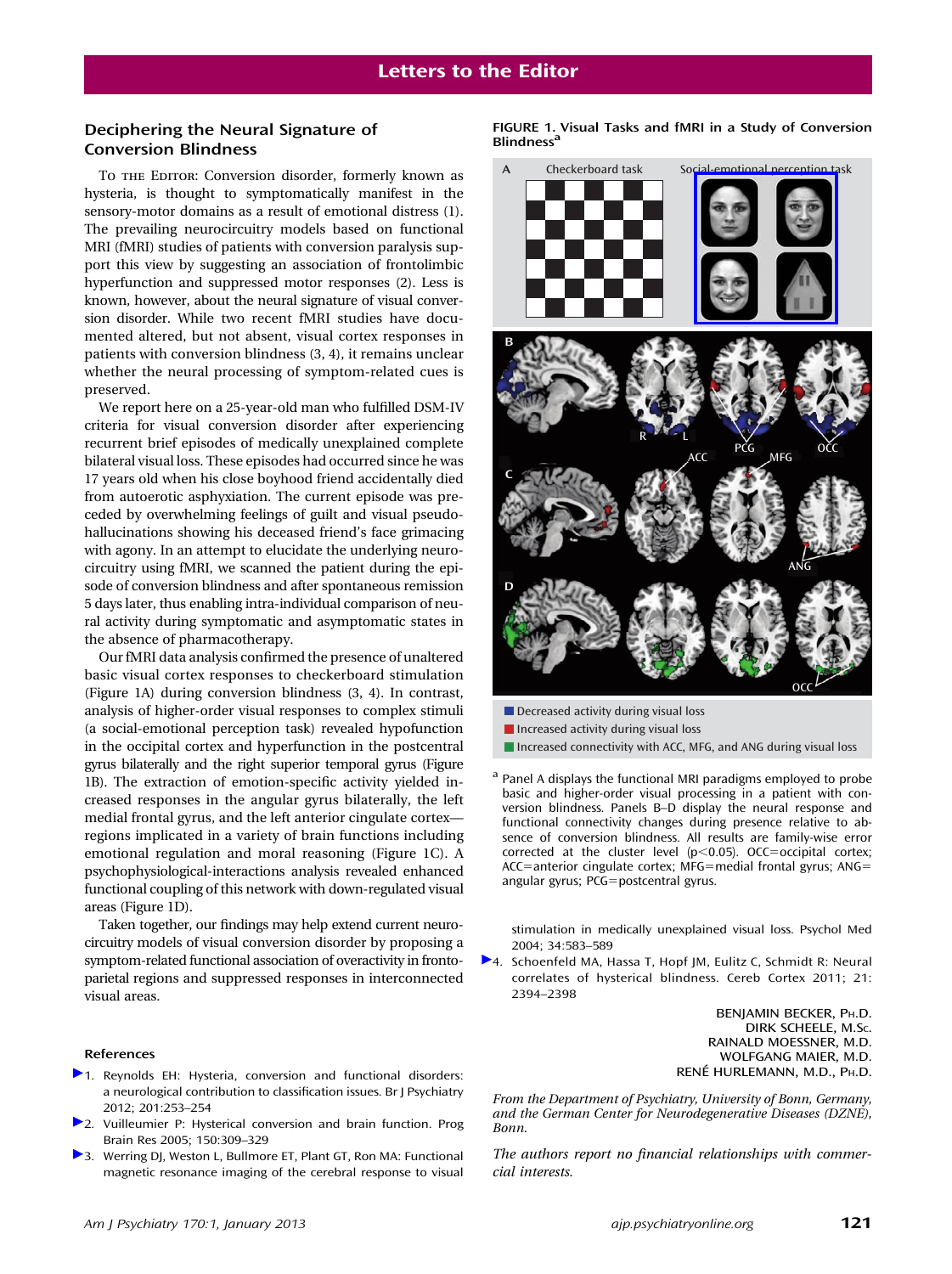## Deciphering the Neural Signature of Conversion Blindness

To THE EDITOR: Conversion disorder, formerly known as hysteria, is thought to symptomatically manifest in the sensory-motor domains as a result of emotional distress (1). The prevailing neurocircuitry models based on functional MRI (fMRI) studies of patients with conversion paralysis support this view by suggesting an association of frontolimbic hyperfunction and suppressed motor responses (2). Less is known, however, about the neural signature of visual conversion disorder. While two recent fMRI studies have documented altered, but not absent, visual cortex responses in patients with conversion blindness (3, 4), it remains unclear whether the neural processing of symptom-related cues is preserved.

We report here on a 25-year-old man who fulfilled DSM-IV criteria for visual conversion disorder after experiencing recurrent brief episodes of medically unexplained complete bilateral visual loss. These episodes had occurred since he was 17 years old when his close boyhood friend accidentally died from autoerotic asphyxiation. The current episode was preceded by overwhelming feelings of guilt and visual pseudohallucinations showing his deceased friend's face grimacing with agony. In an attempt to elucidate the underlying neurocircuitry using fMRI, we scanned the patient during the episode of conversion blindness and after spontaneous remission 5 days later, thus enabling intra-individual comparison of neural activity during symptomatic and asymptomatic states in the absence of pharmacotherapy.

Our fMRI data analysis confirmed the presence of unaltered basic visual cortex responses to checkerboard stimulation (Figure 1A) during conversion blindness (3, 4). In contrast, analysis of higher-order visual responses to complex stimuli (a social-emotional perception task) revealed hypofunction in the occipital cortex and hyperfunction in the postcentral gyrus bilaterally and the right superior temporal gyrus (Figure 1B). The extraction of emotion-specific activity yielded increased responses in the angular gyrus bilaterally, the left medial frontal gyrus, and the left anterior cingulate cortex regions implicated in a variety of brain functions including emotional regulation and moral reasoning (Figure 1C). A psychophysiological-interactions analysis revealed enhanced functional coupling of this network with down-regulated visual areas (Figure 1D).

Taken together, our findings may help extend current neurocircuitry models of visual conversion disorder by proposing a symptom-related functional association of overactivity in frontoparietal regions and suppressed responses in interconnected visual areas.

## References

- [1](https://ajp.psychiatryonline.org/action/showLinks?doi=10.1176%2Fappi.ajp.2012.12070905&pmid=23028080&crossref=10.1192%2Fbjp.bp.111.107219&citationId=p_1). Reynolds EH: Hysteria, conversion and functional disorders: a neurological contribution to classification issues. Br J Psychiatry 2012; 201:253–254
- [2](https://ajp.psychiatryonline.org/action/showLinks?doi=10.1176%2Fappi.ajp.2012.12070905&pmid=16186033&crossref=10.1016%2FS0079-6123%2805%2950023-2&citationId=p_2). Vuilleumier P: Hysterical conversion and brain function. Prog Brain Res 2005; 150:309–329
- [3](https://ajp.psychiatryonline.org/action/showLinks?doi=10.1176%2Fappi.ajp.2012.12070905&pmid=15099413&crossref=10.1017%2FS0033291703008985&citationId=p_3). Werring DJ, Weston L, Bullmore ET, Plant GT, Ron MA: Functional magnetic resonance imaging of the cerebral response to visual

FIGURE 1. Visual Tasks and fMRI in a Study of Conversion **Blindness<sup>a</sup>** 



- Decreased activity during visual loss
- $\blacksquare$  Increased activity during visual loss
- Increased connectivity with ACC, MFG, and ANG during visual loss
- <sup>a</sup> Panel A displays the functional MRI paradigms employed to probe basic and higher-order visual processing in a patient with conversion blindness. Panels B–D display the neural response and functional connectivity changes during presence relative to absence of conversion blindness. All results are family-wise error corrected at the cluster level  $(p<0.05)$ . OCC=occipital cortex; ACC=anterior cingulate cortex; MFG=medial frontal gyrus; ANG= angular gyrus; PCG=postcentral gyrus.

stimulation in medically unexplained visual loss. Psychol Med 2004; 34:583–589

[4](https://ajp.psychiatryonline.org/action/showLinks?doi=10.1176%2Fappi.ajp.2012.12070905&pmid=21368085&crossref=10.1093%2Fcercor%2Fbhr026&citationId=p_4). Schoenfeld MA, Hassa T, Hopf JM, Eulitz C, Schmidt R: Neural correlates of hysterical blindness. Cereb Cortex 2011; 21: 2394–2398

> BENJAMIN BECKER, PH.D. DIRK SCHEELE, M.SC. RAINALD MOESSNER, M.D. WOLFGANG MAIER, M.D. RENÉ HURLEMANN, M.D., PH.D.

From the Department of Psychiatry, University of Bonn, Germany, and the German Center for Neurodegenerative Diseases (DZNE), Bonn.

The authors report no financial relationships with commercial interests.